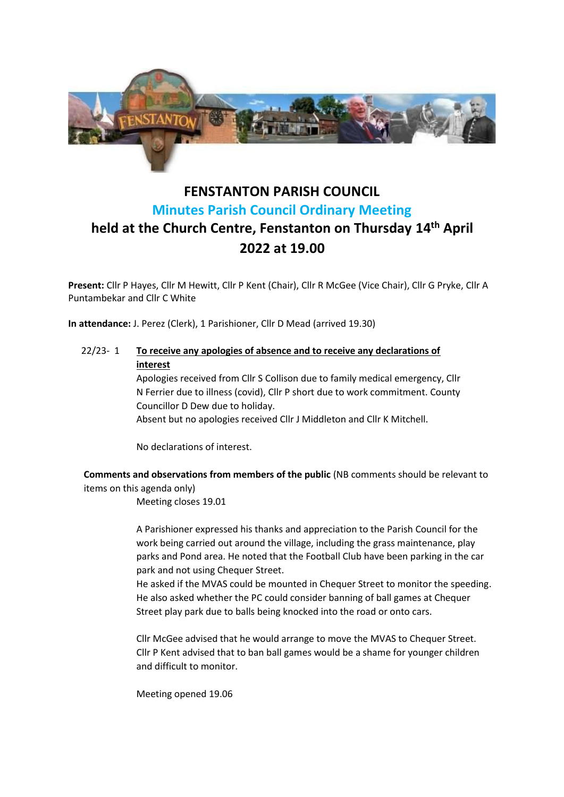

# **FENSTANTON PARISH COUNCIL Minutes Parish Council Ordinary Meeting held at the Church Centre, Fenstanton on Thursday 14th April 2022 at 19.00**

**Present:** Cllr P Hayes, Cllr M Hewitt, Cllr P Kent (Chair), Cllr R McGee (Vice Chair), Cllr G Pryke, Cllr A Puntambekar and Cllr C White

**In attendance:** J. Perez (Clerk), 1 Parishioner, Cllr D Mead (arrived 19.30)

22/23- 1 **To receive any apologies of absence and to receive any declarations of interest**

> Apologies received from Cllr S Collison due to family medical emergency, Cllr N Ferrier due to illness (covid), Cllr P short due to work commitment. County Councillor D Dew due to holiday.

Absent but no apologies received Cllr J Middleton and Cllr K Mitchell.

No declarations of interest.

**Comments and observations from members of the public** (NB comments should be relevant to items on this agenda only)

Meeting closes 19.01

A Parishioner expressed his thanks and appreciation to the Parish Council for the work being carried out around the village, including the grass maintenance, play parks and Pond area. He noted that the Football Club have been parking in the car park and not using Chequer Street.

He asked if the MVAS could be mounted in Chequer Street to monitor the speeding. He also asked whether the PC could consider banning of ball games at Chequer Street play park due to balls being knocked into the road or onto cars.

Cllr McGee advised that he would arrange to move the MVAS to Chequer Street. Cllr P Kent advised that to ban ball games would be a shame for younger children and difficult to monitor.

Meeting opened 19.06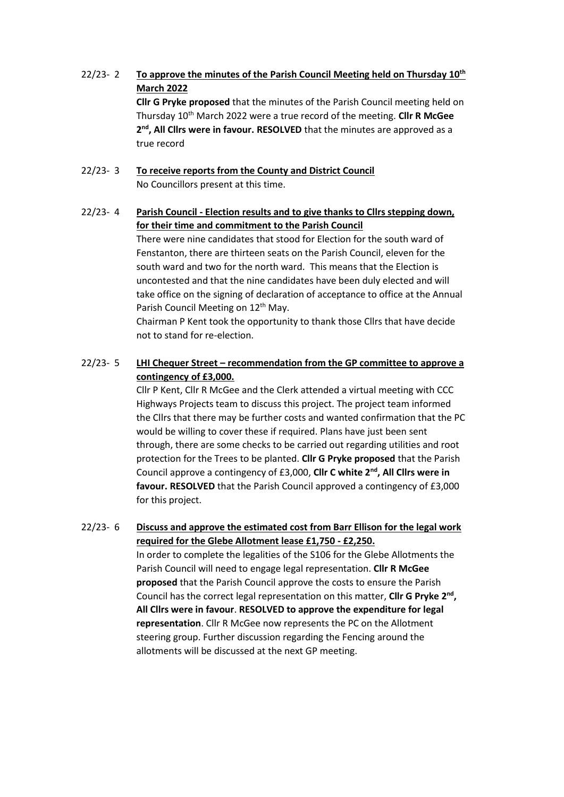# 22/23- 2 **To approve the minutes of the Parish Council Meeting held on Thursday 10th March 2022**

**Cllr G Pryke proposed** that the minutes of the Parish Council meeting held on Thursday 10th March 2022 were a true record of the meeting. **Cllr R McGee** 2<sup>nd</sup>, All Clirs were in favour. RESOLVED that the minutes are approved as a true record

### 22/23- 3 **To receive reports from the County and District Council** No Councillors present at this time.

## 22/23- 4 **Parish Council - Election results and to give thanks to Cllrs stepping down, for their time and commitment to the Parish Council**

There were nine candidates that stood for Election for the south ward of Fenstanton, there are thirteen seats on the Parish Council, eleven for the south ward and two for the north ward. This means that the Election is uncontested and that the nine candidates have been duly elected and will take office on the signing of declaration of acceptance to office at the Annual Parish Council Meeting on 12<sup>th</sup> May.

Chairman P Kent took the opportunity to thank those Cllrs that have decide not to stand for re-election.

# 22/23- 5 **LHI Chequer Street – recommendation from the GP committee to approve a contingency of £3,000.**

Cllr P Kent, Cllr R McGee and the Clerk attended a virtual meeting with CCC Highways Projects team to discuss this project. The project team informed the Cllrs that there may be further costs and wanted confirmation that the PC would be willing to cover these if required. Plans have just been sent through, there are some checks to be carried out regarding utilities and root protection for the Trees to be planted. **Cllr G Pryke proposed** that the Parish Council approve a contingency of £3,000, **Cllr C white 2nd, All Cllrs were in favour. RESOLVED** that the Parish Council approved a contingency of £3,000 for this project.

# 22/23- 6 **Discuss and approve the estimated cost from Barr Ellison for the legal work required for the Glebe Allotment lease £1,750 - £2,250.**

In order to complete the legalities of the S106 for the Glebe Allotments the Parish Council will need to engage legal representation. **Cllr R McGee proposed** that the Parish Council approve the costs to ensure the Parish Council has the correct legal representation on this matter, Cllr G Pryke 2<sup>nd</sup>, **All Cllrs were in favour**. **RESOLVED to approve the expenditure for legal representation**. Cllr R McGee now represents the PC on the Allotment steering group. Further discussion regarding the Fencing around the allotments will be discussed at the next GP meeting.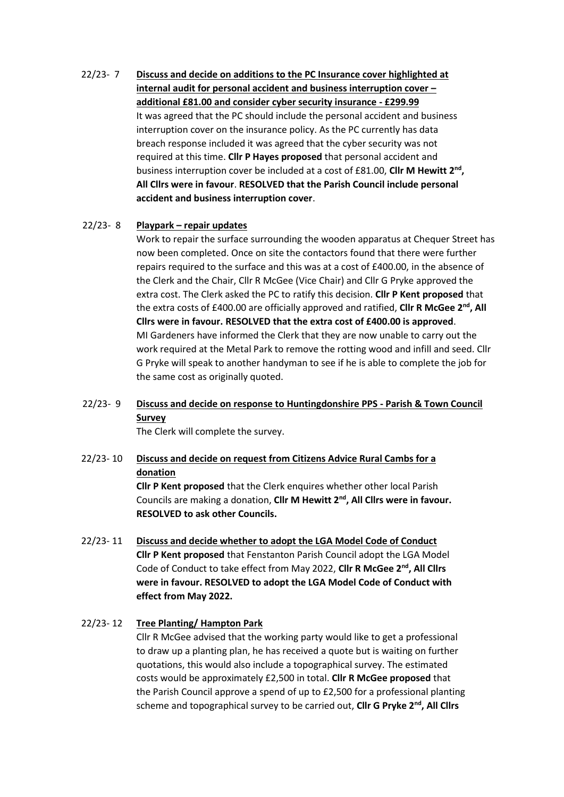22/23- 7 **Discuss and decide on additions to the PC Insurance cover highlighted at internal audit for personal accident and business interruption cover – additional £81.00 and consider cyber security insurance - £299.99** It was agreed that the PC should include the personal accident and business interruption cover on the insurance policy. As the PC currently has data breach response included it was agreed that the cyber security was not required at this time. **Cllr P Hayes proposed** that personal accident and business interruption cover be included at a cost of £81.00, **Cllr M Hewitt 2nd , All Cllrs were in favour**. **RESOLVED that the Parish Council include personal accident and business interruption cover**.

#### 22/23- 8 **Playpark – repair updates**

Work to repair the surface surrounding the wooden apparatus at Chequer Street has now been completed. Once on site the contactors found that there were further repairs required to the surface and this was at a cost of £400.00, in the absence of the Clerk and the Chair, Cllr R McGee (Vice Chair) and Cllr G Pryke approved the extra cost. The Clerk asked the PC to ratify this decision. **Cllr P Kent proposed** that the extra costs of £400.00 are officially approved and ratified, **Cllr R McGee 2nd, All Cllrs were in favour. RESOLVED that the extra cost of £400.00 is approved**. MI Gardeners have informed the Clerk that they are now unable to carry out the work required at the Metal Park to remove the rotting wood and infill and seed. Cllr G Pryke will speak to another handyman to see if he is able to complete the job for the same cost as originally quoted.

# 22/23- 9 **Discuss and decide on response to Huntingdonshire PPS - Parish & Town Council Survey**

The Clerk will complete the survey.

# 22/23- 10 **Discuss and decide on request from Citizens Advice Rural Cambs for a donation**

**Cllr P Kent proposed** that the Clerk enquires whether other local Parish Councils are making a donation, **Cllr M Hewitt 2nd, All Cllrs were in favour. RESOLVED to ask other Councils.**

22/23- 11 **Discuss and decide whether to adopt the LGA Model Code of Conduct Cllr P Kent proposed** that Fenstanton Parish Council adopt the LGA Model Code of Conduct to take effect from May 2022, **Cllr R McGee 2nd, All Cllrs were in favour. RESOLVED to adopt the LGA Model Code of Conduct with effect from May 2022.**

#### 22/23- 12 **Tree Planting/ Hampton Park**

Cllr R McGee advised that the working party would like to get a professional to draw up a planting plan, he has received a quote but is waiting on further quotations, this would also include a topographical survey. The estimated costs would be approximately £2,500 in total. **Cllr R McGee proposed** that the Parish Council approve a spend of up to £2,500 for a professional planting scheme and topographical survey to be carried out, **Cllr G Pryke 2nd, All Cllrs**